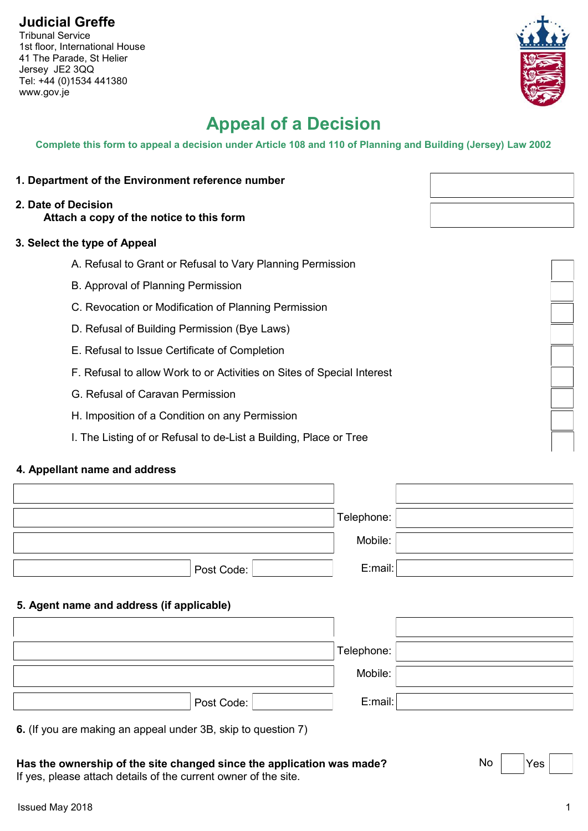## **Judicial Greffe**

Tribunal Service 1st floor, International House 41 The Parade, St Helier Jersey JE2 3QQ Tel: +44 (0)1534 441380 www.gov.je

# **Appeal of a Decision**

**Complete this form to appeal a decision under Article 108 and 110 of Planning and Building (Jersey) Law 2002**

- **1. Department of the Environment reference number**
- **2. Date of Decision Attach a copy of the notice to this form**

#### **3. Select the type of Appeal**

- A. Refusal to Grant or Refusal to Vary Planning Permission
- B. Approval of Planning Permission
- C. Revocation or Modification of Planning Permission
- D. Refusal of Building Permission (Bye Laws)
- E. Refusal to Issue Certificate of Completion
- F. Refusal to allow Work to or Activities on Sites of Special Interest
- G. Refusal of Caravan Permission
- H. Imposition of a Condition on any Permission
- I. The Listing of or Refusal to de-List a Building, Place or Tree

### **4. Appellant name and address**

|                                                               | Telephone: |
|---------------------------------------------------------------|------------|
|                                                               | Mobile:    |
| Post Code:                                                    | E:mail:    |
| 5. Agent name and address (if applicable)                     |            |
|                                                               |            |
|                                                               | Telephone: |
|                                                               | Mobile:    |
| Post Code:                                                    | E:mail:    |
| 6. (If you are making an appeal under 3B, skip to question 7) |            |



No Yes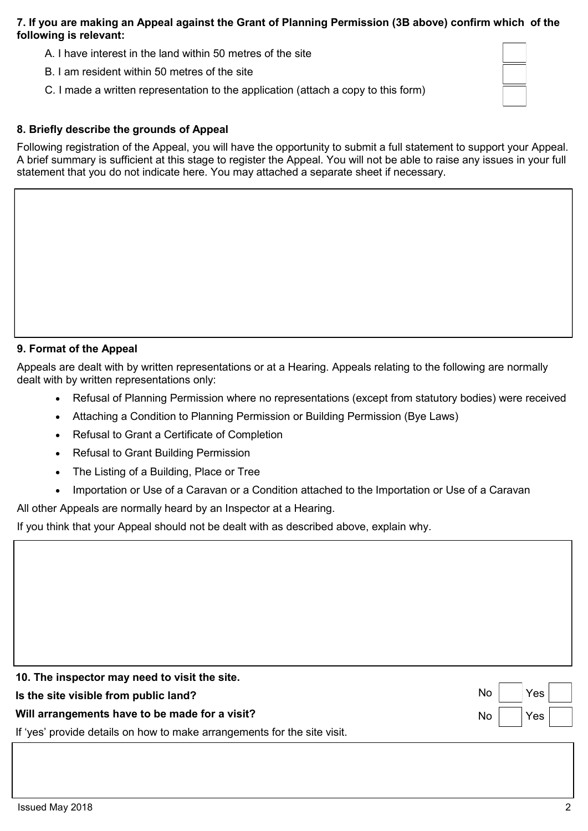#### **7. If you are making an Appeal against the Grant of Planning Permission (3B above) confirm which of the following is relevant:**

- A. I have interest in the land within 50 metres of the site
- B. I am resident within 50 metres of the site
- C. I made a written representation to the application (attach a copy to this form)

#### **8. Briefly describe the grounds of Appeal**

Following registration of the Appeal, you will have the opportunity to submit a full statement to support your Appeal. A brief summary is sufficient at this stage to register the Appeal. You will not be able to raise any issues in your full statement that you do not indicate here. You may attached a separate sheet if necessary.

#### **9. Format of the Appeal**

Appeals are dealt with by written representations or at a Hearing. Appeals relating to the following are normally dealt with by written representations only:

- Refusal of Planning Permission where no representations (except from statutory bodies) were received
- Attaching a Condition to Planning Permission or Building Permission (Bye Laws)
- Refusal to Grant a Certificate of Completion
- Refusal to Grant Building Permission
- The Listing of a Building, Place or Tree
- Importation or Use of a Caravan or a Condition attached to the Importation or Use of a Caravan

All other Appeals are normally heard by an Inspector at a Hearing.

If you think that your Appeal should not be dealt with as described above, explain why.

| 10. The inspector may need to visit the site.                            |                                                              |
|--------------------------------------------------------------------------|--------------------------------------------------------------|
| Is the site visible from public land?                                    | $\mathsf{No} \parallel \mathsf{\ Yes} \parallel \mathsf{\ }$ |
| Will arrangements have to be made for a visit?                           | $\mathsf{No} \qquad  \mathsf{Yes}  \qquad  $                 |
| If 'yes' provide details on how to make arrangements for the site visit. |                                                              |
|                                                                          |                                                              |